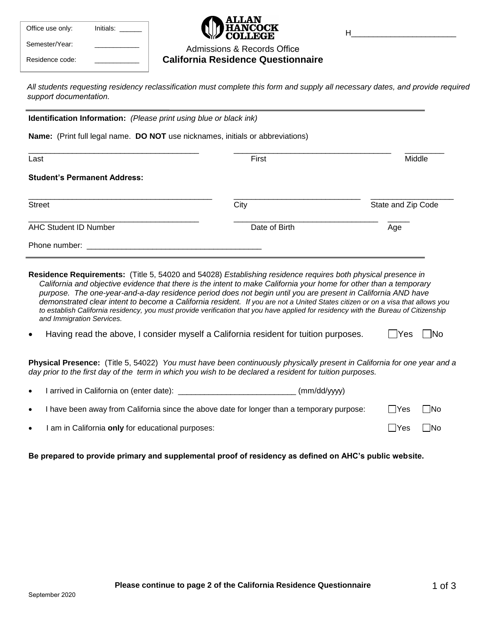| Office use only: | Initials: |
|------------------|-----------|
| Semester/Year:   |           |
| Residence code:  |           |

H\_\_\_\_\_\_\_\_\_\_\_\_\_\_\_\_\_\_\_\_\_\_\_\_

## Admissions & Records Office **California Residence Questionnaire**

All students requesting residency reclassification must complete this form and supply all necessary dates, and provide required *support documentation.*

**Identification Information:** *(Please print using blue or black ink)* 

**Name:** (Print full legal name. **DO NOT** use nicknames, initials or abbreviations)

| Last                                | First         | Middle                    |  |
|-------------------------------------|---------------|---------------------------|--|
| <b>Student's Permanent Address:</b> |               |                           |  |
| <b>Street</b>                       | City          | State and Zip Code<br>Age |  |
| <b>AHC Student ID Number</b>        | Date of Birth |                           |  |
| Phone number:                       |               |                           |  |

- **Residence Requirements:** (Title 5, 54020 and 54028) *Establishing residence requires both physical presence in California and objective evidence that there is the intent to make California your home for other than a temporary purpose. The one-year-and-a-day residence period does not begin until you are present in California AND have demonstrated clear intent to become a California resident. If you are not a United States citizen or on a visa that allows you to establish California residency, you must provide verification that you have applied for residency with the Bureau of Citizenship and Immigration Services.*
- Having read the above, I consider myself a California resident for tuition purposes.  $\Box$  Yes  $\Box$  No

**Physical Presence:** (Title 5, 54022) *You must have been continuously physically present in California for one year and a day prior to the first day of the term in which you wish to be declared a resident for tuition purposes.* 

- I arrived in California on (enter date): \_\_\_\_\_\_\_\_\_\_\_\_\_\_\_\_\_\_\_\_\_\_\_\_\_\_\_\_\_\_(mm/dd/yyyy)
- I have been away from California since the above date for longer than a temporary purpose:  $\Box$  Yes  $\Box$  No
- I am in California **only** for educational purposes:  $\Box$  Yes  $\Box$  No

**Be prepared to provide primary and supplemental proof of residency as defined on AHC's public website.**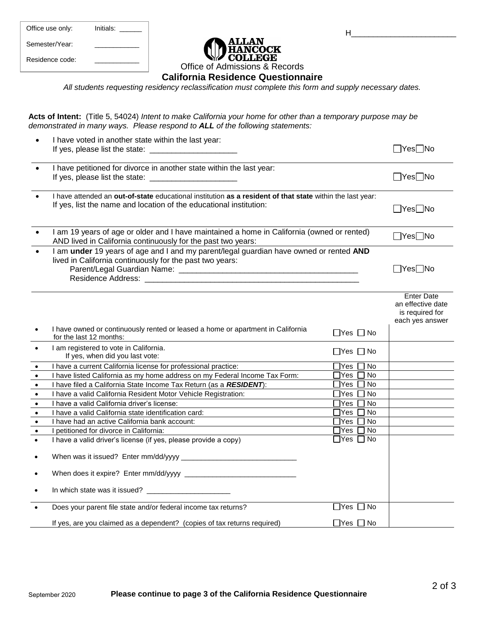| Office use only: | Initials: |
|------------------|-----------|
| Semester/Year:   |           |
| Residence code:  |           |



**California Residence Questionnaire** 

*All students requesting residency reclassification must complete this form and supply necessary dates.* 

**Acts of Intent:** (Title 5, 54024) *Intent to make California your home for other than a temporary purpose may be demonstrated in many ways. Please respond to ALL of the following statements:* 

| $\bullet$                                                                                                                                   | I have voted in another state within the last year:                                                                                                                                                                                                                                                                                                                                                                                                                                                                                                                                         |                                                                                                                                                                                                                                                          | $\Box$ Yes $\Box$ No                                                         |
|---------------------------------------------------------------------------------------------------------------------------------------------|---------------------------------------------------------------------------------------------------------------------------------------------------------------------------------------------------------------------------------------------------------------------------------------------------------------------------------------------------------------------------------------------------------------------------------------------------------------------------------------------------------------------------------------------------------------------------------------------|----------------------------------------------------------------------------------------------------------------------------------------------------------------------------------------------------------------------------------------------------------|------------------------------------------------------------------------------|
|                                                                                                                                             | I have petitioned for divorce in another state within the last year:                                                                                                                                                                                                                                                                                                                                                                                                                                                                                                                        |                                                                                                                                                                                                                                                          | $\Box$ Yes $\Box$ No                                                         |
|                                                                                                                                             | I have attended an out-of-state educational institution as a resident of that state within the last year:<br>If yes, list the name and location of the educational institution:                                                                                                                                                                                                                                                                                                                                                                                                             |                                                                                                                                                                                                                                                          | $\Box$ Yes $\Box$ No                                                         |
|                                                                                                                                             | I am 19 years of age or older and I have maintained a home in California (owned or rented)<br>AND lived in California continuously for the past two years:                                                                                                                                                                                                                                                                                                                                                                                                                                  |                                                                                                                                                                                                                                                          | $\Box$ Yes $\Box$ No                                                         |
|                                                                                                                                             | I am under 19 years of age and I and my parent/legal guardian have owned or rented AND<br>lived in California continuously for the past two years:                                                                                                                                                                                                                                                                                                                                                                                                                                          |                                                                                                                                                                                                                                                          | $\Box$ Yes $\Box$ No                                                         |
|                                                                                                                                             | I have owned or continuously rented or leased a home or apartment in California                                                                                                                                                                                                                                                                                                                                                                                                                                                                                                             |                                                                                                                                                                                                                                                          | <b>Enter Date</b><br>an effective date<br>is required for<br>each yes answer |
|                                                                                                                                             | for the last 12 months:                                                                                                                                                                                                                                                                                                                                                                                                                                                                                                                                                                     | $\Box$ Yes $\Box$ No                                                                                                                                                                                                                                     |                                                                              |
| $\bullet$                                                                                                                                   | I am registered to vote in California.<br>If yes, when did you last vote:                                                                                                                                                                                                                                                                                                                                                                                                                                                                                                                   | $\Box$ Yes $\Box$ No                                                                                                                                                                                                                                     |                                                                              |
| $\bullet$<br>$\bullet$<br>$\bullet$<br>$\bullet$<br>$\bullet$<br>$\bullet$<br>$\bullet$<br>$\bullet$<br>$\bullet$<br>$\bullet$<br>$\bullet$ | I have a current California license for professional practice:<br>I have listed California as my home address on my Federal Income Tax Form:<br>I have filed a California State Income Tax Return (as a RESIDENT):<br>I have a valid California Resident Motor Vehicle Registration:<br>I have a valid California driver's license:<br>I have a valid California state identification card:<br>I have had an active California bank account:<br>I petitioned for divorce in California:<br>I have a valid driver's license (if yes, please provide a copy)<br>In which state was it issued? | $\exists$ Yes $\Box$<br>No<br>ר Yes<br><b>No</b><br>]Yes  <br><b>No</b><br>$\Box$ Yes $\Box$<br>No<br>$\Box$ Yes $\Box$<br>No<br>$\sqcap$ Yes $\sqcap$<br><b>No</b><br>$\Box$ Yes $\Box$<br><b>No</b><br>No<br>$\Box$ Yes $\Box$<br>$\Box$ Yes $\Box$ No |                                                                              |
|                                                                                                                                             | Does your parent file state and/or federal income tax returns?<br>If yes, are you claimed as a dependent? (copies of tax returns required)                                                                                                                                                                                                                                                                                                                                                                                                                                                  | $\Box$ Yes $\Box$ No<br>$\Box$ Yes $\Box$ No                                                                                                                                                                                                             |                                                                              |

H\_\_\_\_\_\_\_\_\_\_\_\_\_\_\_\_\_\_\_\_\_\_\_\_